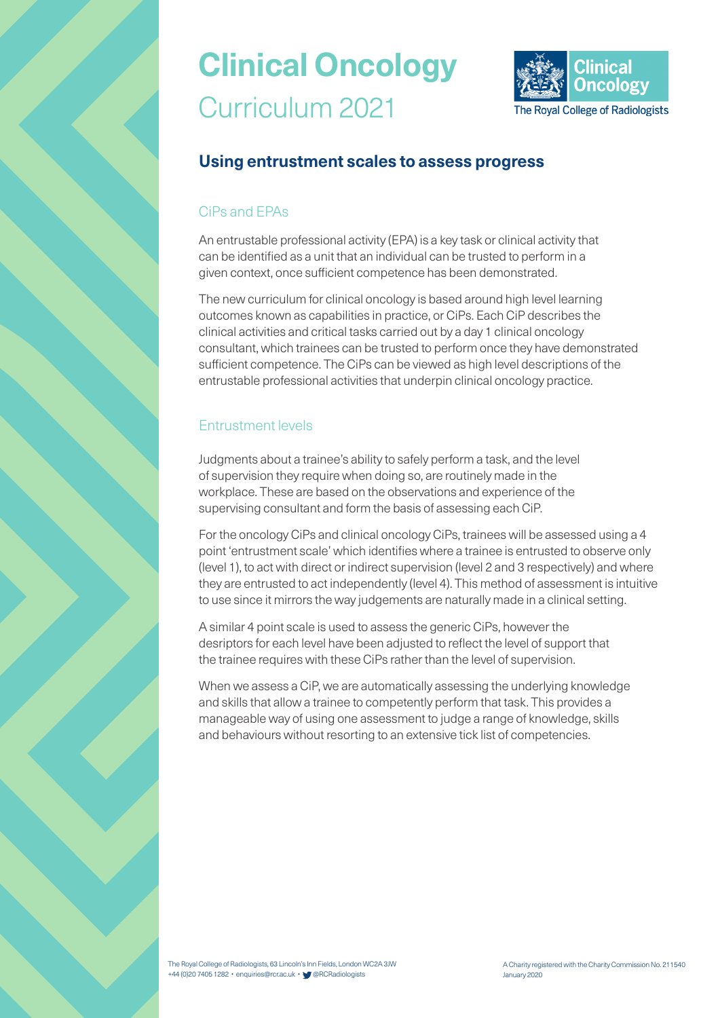

### **Using entrustment scales to assess progress**

#### CiPs and EPAs

An entrustable professional activity (EPA) is a key task or clinical activity that can be identified as a unit that an individual can be trusted to perform in a given context, once sufficient competence has been demonstrated.

The new curriculum for clinical oncology is based around high level learning outcomes known as capabilities in practice, or CiPs. Each CiP describes the clinical activities and critical tasks carried out by a day 1 clinical oncology consultant, which trainees can be trusted to perform once they have demonstrated sufficient competence. The CiPs can be viewed as high level descriptions of the entrustable professional activities that underpin clinical oncology practice.

#### Entrustment levels

Judgments about a trainee's ability to safely perform a task, and the level of supervision they require when doing so, are routinely made in the workplace. These are based on the observations and experience of the supervising consultant and form the basis of assessing each CiP.

For the oncology CiPs and clinical oncology CiPs, trainees will be assessed using a 4 point 'entrustment scale' which identifies where a trainee is entrusted to observe only (level 1), to act with direct or indirect supervision (level 2 and 3 respectively) and where they are entrusted to act independently (level 4). This method of assessment is intuitive to use since it mirrors the way judgements are naturally made in a clinical setting.

A similar 4 point scale is used to assess the generic CiPs, however the desriptors for each level have been adjusted to reflect the level of support that the trainee requires with these CiPs rather than the level of supervision.

When we assess a CiP, we are automatically assessing the underlying knowledge and skills that allow a trainee to competently perform that task. This provides a manageable way of using one assessment to judge a range of knowledge, skills and behaviours without resorting to an extensive tick list of competencies.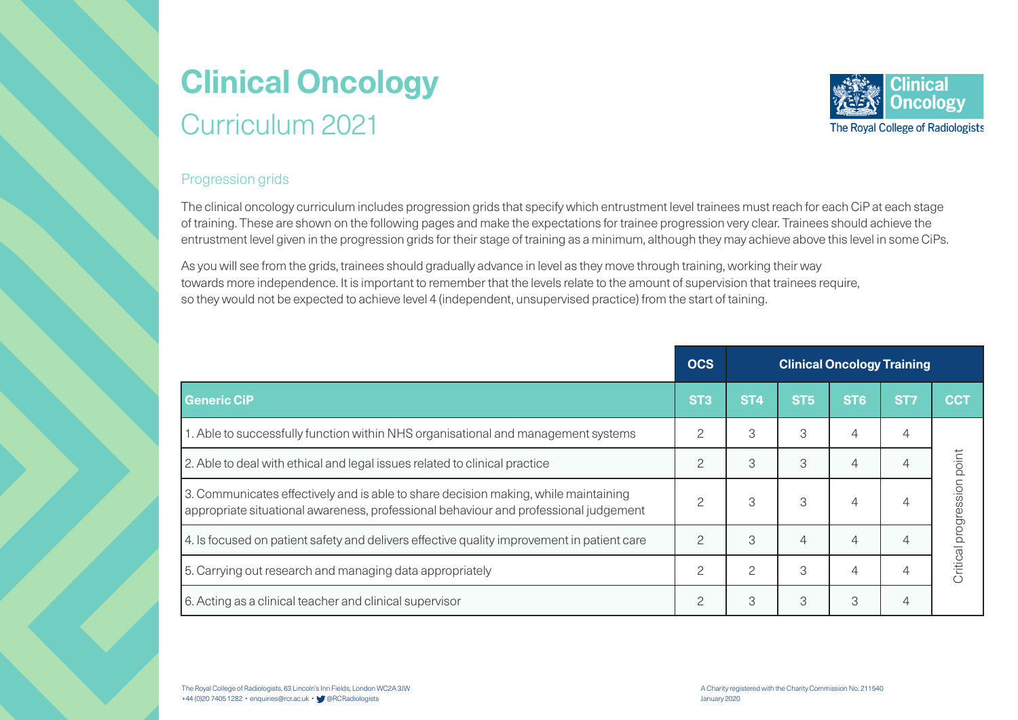

#### Progression grids

The clinical oncology curriculum includes progression grids that specify which entrustment level trainees must reach for each CiP at each stage of training. These are shown on the following pages and make the expectations for trainee progression very clear. Trainees should achieve the entrustment level given in the progression grids for their stage of training as a minimum, although they may achieve above this level in some CiPs.

As you will see from the grids, trainees should gradually advance in level as they move through training, working their way towards more independence. It is important to remember that the levels relate to the amount of supervision that trainees require, so they would not be expected to achieve level 4 (independent, unsupervised practice) from the start of taining.

|                                                                                                                                                                             | <b>OCS</b>      | <b>Clinical Oncology Training</b> |                 |                 |                 |                            |
|-----------------------------------------------------------------------------------------------------------------------------------------------------------------------------|-----------------|-----------------------------------|-----------------|-----------------|-----------------|----------------------------|
| <b>Generic CiP</b>                                                                                                                                                          | ST <sub>3</sub> | ST <sub>4</sub>                   | ST <sub>5</sub> | ST <sub>6</sub> | ST <sub>7</sub> | <b>CCT</b>                 |
| 1. Able to successfully function within NHS organisational and management systems                                                                                           | $\overline{c}$  | 3                                 | 3               |                 | 4               |                            |
| 2. Able to deal with ethical and legal issues related to clinical practice                                                                                                  | $\overline{c}$  | 3                                 | 3               | $\overline{4}$  | 4               |                            |
| 3. Communicates effectively and is able to share decision making, while maintaining<br>appropriate situational awareness, professional behaviour and professional judgement | $\mathcal{P}$   | 3                                 | 3               |                 |                 | Critical progression point |
| 4. Is focused on patient safety and delivers effective quality improvement in patient care                                                                                  | $\mathcal{P}$   | 3                                 | 4               |                 |                 |                            |
| 5. Carrying out research and managing data appropriately                                                                                                                    | $\mathcal{P}$   | $\mathcal{P}$                     | 3               | 4               | 4               |                            |
| 6. Acting as a clinical teacher and clinical supervisor                                                                                                                     | $\overline{c}$  | 3                                 | 3               | 3               | 4               |                            |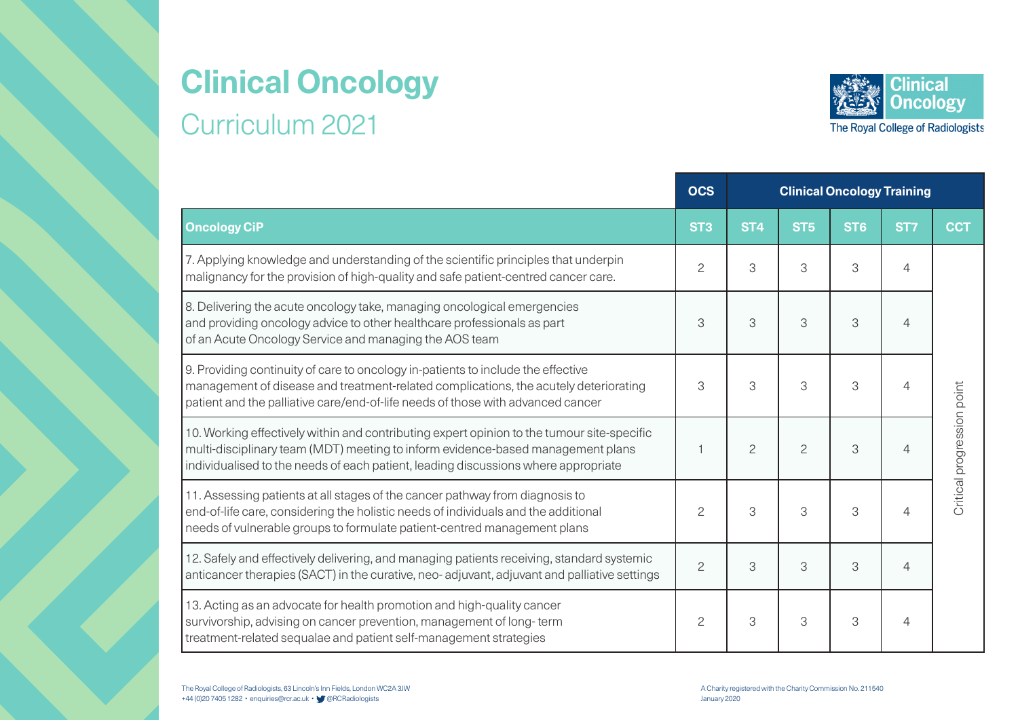

|                                                                                                                                                                                                                                                                     | <b>OCS</b>      | <b>Clinical Oncology Training</b> |                 |                 |                 |                            |
|---------------------------------------------------------------------------------------------------------------------------------------------------------------------------------------------------------------------------------------------------------------------|-----------------|-----------------------------------|-----------------|-----------------|-----------------|----------------------------|
| <b>Oncology CiP</b>                                                                                                                                                                                                                                                 | ST <sub>3</sub> | ST <sub>4</sub>                   | ST <sub>5</sub> | ST <sub>6</sub> | ST <sub>7</sub> | <b>CCT</b>                 |
| 7. Applying knowledge and understanding of the scientific principles that underpin<br>malignancy for the provision of high-quality and safe patient-centred cancer care.                                                                                            | $\overline{c}$  | 3                                 | 3               | 3               | $\overline{4}$  |                            |
| 8. Delivering the acute oncology take, managing oncological emergencies<br>and providing oncology advice to other healthcare professionals as part<br>of an Acute Oncology Service and managing the AOS team                                                        | 3               | 3                                 | 3               | 3               | $\overline{4}$  |                            |
| 9. Providing continuity of care to oncology in-patients to include the effective<br>management of disease and treatment-related complications, the acutely deteriorating<br>patient and the palliative care/end-of-life needs of those with advanced cancer         | 3               | 3                                 | 3               | 3               | $\overline{4}$  |                            |
| 10. Working effectively within and contributing expert opinion to the tumour site-specific<br>multi-disciplinary team (MDT) meeting to inform evidence-based management plans<br>individualised to the needs of each patient, leading discussions where appropriate |                 | $\overline{c}$                    | $\overline{c}$  | 3               | $\overline{4}$  | Critical progression point |
| 11. Assessing patients at all stages of the cancer pathway from diagnosis to<br>end-of-life care, considering the holistic needs of individuals and the additional<br>needs of vulnerable groups to formulate patient-centred management plans                      | $\overline{c}$  | 3                                 | 3               | 3               | $\overline{4}$  |                            |
| 12. Safely and effectively delivering, and managing patients receiving, standard systemic<br>anticancer therapies (SACT) in the curative, neo-adjuvant, adjuvant and palliative settings                                                                            | $\overline{c}$  | 3                                 | 3               | 3               | $\overline{4}$  |                            |
| 13. Acting as an advocate for health promotion and high-quality cancer<br>survivorship, advising on cancer prevention, management of long-term<br>treatment-related sequalae and patient self-management strategies                                                 | $\overline{c}$  | 3                                 | 3               | 3               | 4               |                            |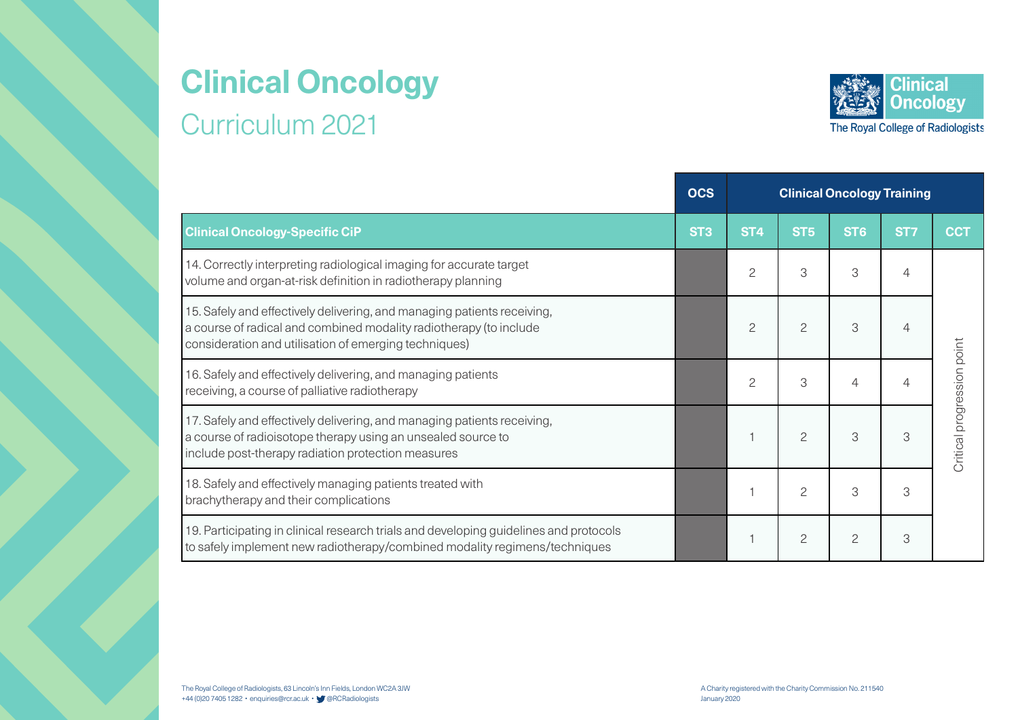

|                                                                                                                                                                                                        | <b>OCS</b>      | <b>Clinical Oncology Training</b> |                 |                 |                 |                            |
|--------------------------------------------------------------------------------------------------------------------------------------------------------------------------------------------------------|-----------------|-----------------------------------|-----------------|-----------------|-----------------|----------------------------|
| <b>Clinical Oncology-Specific CiP</b>                                                                                                                                                                  | ST <sub>3</sub> | ST <sub>4</sub>                   | ST <sub>5</sub> | ST <sub>6</sub> | ST <sub>7</sub> | <b>CCT</b>                 |
| 14. Correctly interpreting radiological imaging for accurate target<br>volume and organ-at-risk definition in radiotherapy planning                                                                    |                 | 2                                 | 3               | 3               | 4               |                            |
| 15. Safely and effectively delivering, and managing patients receiving,<br>a course of radical and combined modality radiotherapy (to include<br>consideration and utilisation of emerging techniques) |                 | 2                                 | $\overline{c}$  | 3               | 4               |                            |
| 16. Safely and effectively delivering, and managing patients<br>receiving, a course of palliative radiotherapy                                                                                         |                 | 2                                 | 3               | $\overline{4}$  | ⊥               |                            |
| 17. Safely and effectively delivering, and managing patients receiving,<br>a course of radioisotope therapy using an unsealed source to<br>include post-therapy radiation protection measures          |                 |                                   | $\overline{c}$  | 3               | 3               | Critical progression point |
| 18. Safely and effectively managing patients treated with<br>brachytherapy and their complications                                                                                                     |                 |                                   | $\overline{c}$  | 3               | 3               |                            |
| 19. Participating in clinical research trials and developing guidelines and protocols<br>to safely implement new radiotherapy/combined modality regimens/techniques                                    |                 |                                   | $\overline{c}$  | $\overline{c}$  | 3               |                            |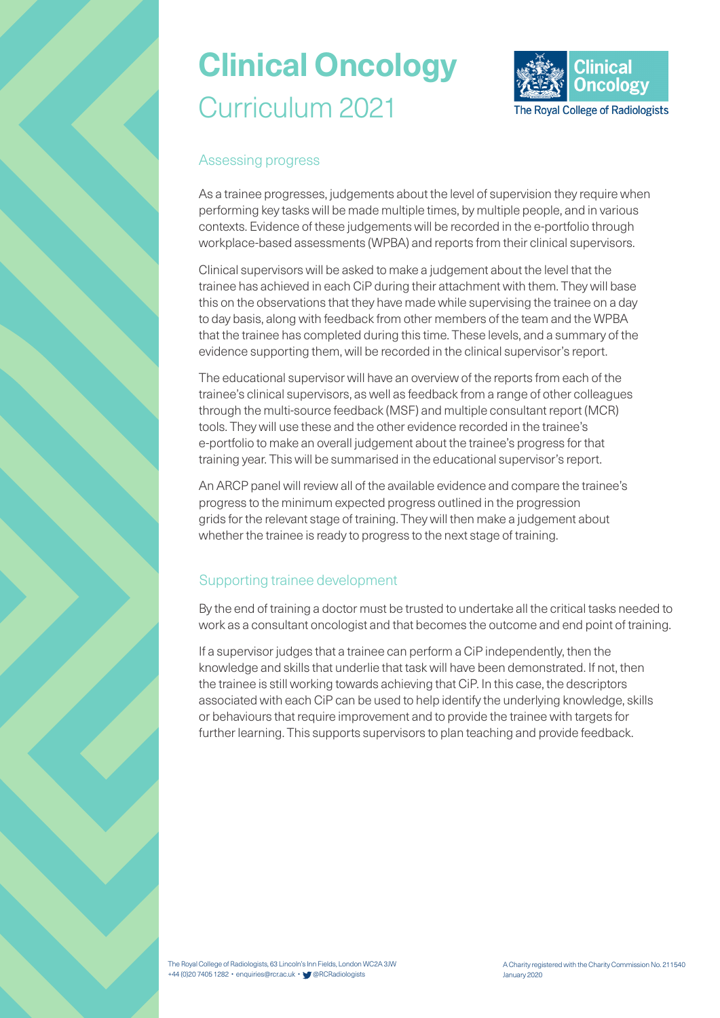

#### Assessing progress

As a trainee progresses, judgements about the level of supervision they require when performing key tasks will be made multiple times, by multiple people, and in various contexts. Evidence of these judgements will be recorded in the e-portfolio through workplace-based assessments (WPBA) and reports from their clinical supervisors.

Clinical supervisors will be asked to make a judgement about the level that the trainee has achieved in each CiP during their attachment with them. They will base this on the observations that they have made while supervising the trainee on a day to day basis, along with feedback from other members of the team and the WPBA that the trainee has completed during this time. These levels, and a summary of the evidence supporting them, will be recorded in the clinical supervisor's report.

The educational supervisor will have an overview of the reports from each of the trainee's clinical supervisors, as well as feedback from a range of other colleagues through the multi-source feedback (MSF) and multiple consultant report (MCR) tools. They will use these and the other evidence recorded in the trainee's e-portfolio to make an overall judgement about the trainee's progress for that training year. This will be summarised in the educational supervisor's report.

An ARCP panel will review all of the available evidence and compare the trainee's progress to the minimum expected progress outlined in the progression grids for the relevant stage of training. They will then make a judgement about whether the trainee is ready to progress to the next stage of training.

#### Supporting trainee development

By the end of training a doctor must be trusted to undertake all the critical tasks needed to work as a consultant oncologist and that becomes the outcome and end point of training.

If a supervisor judges that a trainee can perform a CiP independently, then the knowledge and skills that underlie that task will have been demonstrated. If not, then the trainee is still working towards achieving that CiP. In this case, the descriptors associated with each CiP can be used to help identify the underlying knowledge, skills or behaviours that require improvement and to provide the trainee with targets for further learning. This supports supervisors to plan teaching and provide feedback.